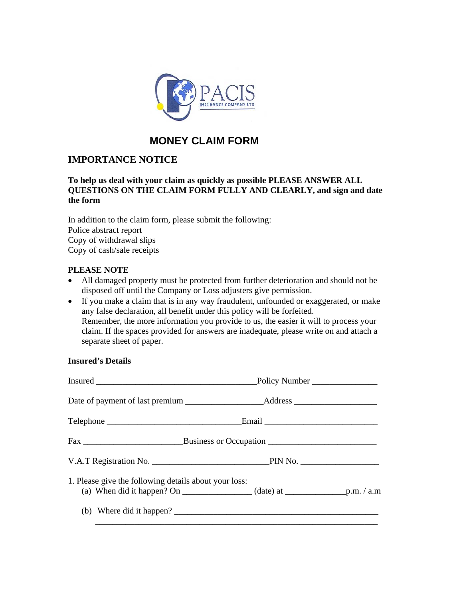

# **MONEY CLAIM FORM**

## **IMPORTANCE NOTICE**

#### **To help us deal with your claim as quickly as possible PLEASE ANSWER ALL QUESTIONS ON THE CLAIM FORM FULLY AND CLEARLY, and sign and date the form**

In addition to the claim form, please submit the following: Police abstract report Copy of withdrawal slips Copy of cash/sale receipts

### **PLEASE NOTE**

- All damaged property must be protected from further deterioration and should not be disposed off until the Company or Loss adjusters give permission.
- If you make a claim that is in any way fraudulent, unfounded or exaggerated, or make any false declaration, all benefit under this policy will be forfeited. Remember, the more information you provide to us, the easier it will to process your claim. If the spaces provided for answers are inadequate, please write on and attach a separate sheet of paper.

#### **Insured's Details**

| Date of payment of last premium ________________________Address _________________ |  |
|-----------------------------------------------------------------------------------|--|
|                                                                                   |  |
|                                                                                   |  |
|                                                                                   |  |
| 1. Please give the following details about your loss:                             |  |
| (b) Where did it happen?                                                          |  |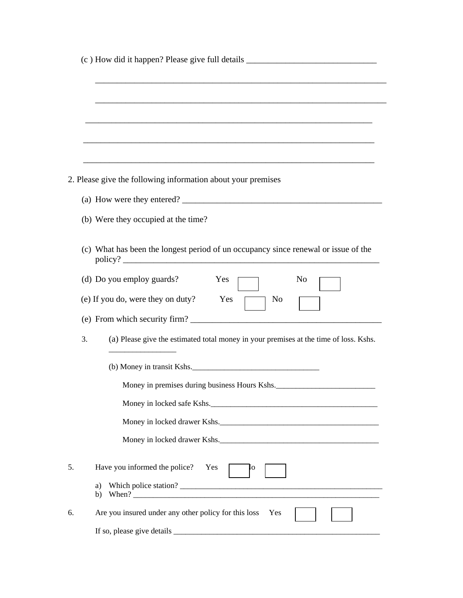|    | (c) How did it happen? Please give full details _________________________________                                     |
|----|-----------------------------------------------------------------------------------------------------------------------|
|    |                                                                                                                       |
|    |                                                                                                                       |
|    |                                                                                                                       |
|    |                                                                                                                       |
|    | <u> 1989 - Johann Barn, amerikan berkema dalam berkema dalam berkema dalam berkema dalam berkema dalam berkema da</u> |
|    |                                                                                                                       |
|    | 2. Please give the following information about your premises                                                          |
|    |                                                                                                                       |
|    | (b) Were they occupied at the time?                                                                                   |
|    |                                                                                                                       |
|    | (c) What has been the longest period of un occupancy since renewal or issue of the                                    |
|    | (d) Do you employ guards?<br>Yes<br>No                                                                                |
|    | (e) If you do, were they on duty?<br>Yes<br>No                                                                        |
|    |                                                                                                                       |
| 3. | (a) Please give the estimated total money in your premises at the time of loss. Kshs.                                 |
|    | (b) Money in transit Kshs.                                                                                            |
|    | Money in premises during business Hours Kshs.                                                                         |
|    | Money in locked safe Kshs.                                                                                            |
|    | Money in locked drawer Kshs.                                                                                          |
|    |                                                                                                                       |
|    | Money in locked drawer Kshs.                                                                                          |
|    | Have you informed the police? Yes<br>łо                                                                               |
|    | a)<br>b)                                                                                                              |
|    | Are you insured under any other policy for this loss<br>Yes                                                           |
|    |                                                                                                                       |